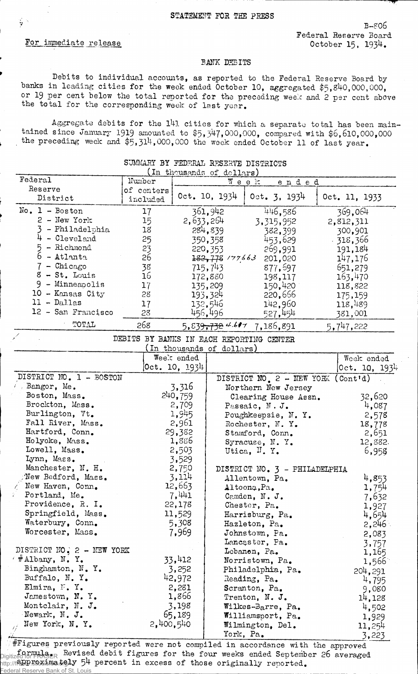## For immediate release

ç.

B-806 Federal Reserve Board October 15, 1934.

## BANK DEBITS

Debits to individual accounts, as reported to the Federal Reserve Board bybanks in leading cities for the week ended October 10, aggregated \$5,840,000,000, or 19 per cent below the total reported for the preceding week and 2 per cent above the total for the corresponding week of last year.

Aggregate debits for the l4l cities for which a separate total has been maintained since January 1919 amounted to \$5,347,000,000, compared with \$6, 610,000,000 the preceding week and \$5,314,000,000 the week ended October 11 of last year.

|                           | SUMMARY BY FEDERAL RESERVE DISTRICTS |               |                             |                                          |                |
|---------------------------|--------------------------------------|---------------|-----------------------------|------------------------------------------|----------------|
| Federal                   | Number                               |               | (In thousands of dollars)   |                                          |                |
| Reserve                   | of centers                           |               |                             | Week<br>ended                            |                |
| District                  | included                             |               | Oct. 10, 1934               | $0ct.$ 3, 1934                           | Oct. 11, 1933  |
| $No. 1 - Boston$          | 17                                   |               | 361,942                     | 446,586                                  | 369,064        |
| $2$ - New York            | 15                                   | 2,633,264     |                             | 3, 315, 952                              | 2,812,311      |
| 3 - Philadelphia          | 18                                   |               | 284,839                     | 382,399                                  | 300,901        |
| $4 -$ Cleveland           | 25                                   |               | 350,358                     | 453,629                                  | $-318,366$     |
| $5 -$ Richmond            | 23                                   |               | 220, 353                    | 269,991                                  | 191,184        |
| $6 -$ Atlanta             | 26                                   |               | $182,778$ $/77663$          | 201,020                                  | 147,176        |
| $7$ - Chicago             | 38                                   |               | 715,743                     | 877, 697                                 | 651,279        |
| $8 - St.$ Louis           | 16                                   |               | 172,880                     | 198,117                                  | 163,470        |
| 9 - Minneapolis           | 17                                   |               | 135,209                     | 150,420                                  | 118,822        |
| $10$ - Kansas City        | 28                                   |               | 193,324                     | 220,666                                  | 175,159        |
| $11 - Dallas$             | 17                                   |               | 132,546                     | 142,960                                  | 118,489        |
| 12 - San Francisco        | 28                                   |               | 456,496                     | 527,454                                  | 381,001        |
| TOTAL                     | 268                                  |               | 5,839 <del>,732</del> 4.617 | 7,186,891                                | 5,747,222      |
|                           |                                      |               |                             | DEBITS BY BANKS IN EACH REPORTING CENTER |                |
|                           |                                      |               | (In thousands of dollars)   |                                          |                |
|                           |                                      | Week ended    |                             |                                          | Week ended     |
|                           |                                      | 0ct. 10, 1934 |                             |                                          | [0ct. 10, 1934 |
| DISTRICT NO. 1 - BOSTON   |                                      |               |                             |                                          |                |
| $\ell$ Bangor, Me.        |                                      | 3,316         |                             | DISTRICT NO. 2 - NEW YORK (Cont'd)       |                |
| Boston, Mass.             |                                      | 240, 759      |                             | Northern New Jersey                      | 32,620         |
| Brockton, Mass.           |                                      | 2,709         |                             | Clearing House Assn.                     | 4,087          |
| Burlington, Vt.           |                                      | 1,945         |                             | Passaic, N.J.                            |                |
| Fall River, Mass.         |                                      | 2,961         |                             | Poughkeepsie, N. Y.                      | 2,578          |
| Hartford, Conn.           |                                      | 29,382        |                             | Rochester, N.Y.                          | 18,778         |
| Holyoke, Mass.            |                                      | 1,886         |                             | Stamford, Conn.                          | 2,651          |
| Lowell, Mass.             |                                      | 2,503         |                             | Syracuse, N.Y.<br>Utica, N.Y.            | 12,882.        |
| Lynn, Mass.               |                                      | 3,529         |                             |                                          | 6,958          |
| Manchester, N. H.         |                                      | 2,750         |                             | DISTRICT NO. 3 - PHILADELPHIA            |                |
| New Bedford, Mass.        |                                      | 3,114         |                             | Allentown, Pa.                           | 4,853          |
| New Haven, Conn.          |                                      | 12,663        |                             | Altoona, Pa.                             | 1,754          |
| Portland, Me.             |                                      | 7,441         |                             | Camden, N. J.                            |                |
| Providence, R. I.         |                                      | 22,178        |                             | Chester, Pa.                             | 7,632<br>1,927 |
| Springfield, Mass.        |                                      | 11,529        |                             | Harrisburg, Pa.                          | 4,654          |
| Waterbury, Conn.          |                                      | 5,308         |                             | Hazleton, Pa.                            | 2,246          |
| Worcester, Mass.          |                                      | 7,969         |                             | Johnstown, Pa.                           | 2,083          |
|                           |                                      |               |                             | Lancaster, Pa.                           | 3,757          |
| DISTRICT NO: 2 - NEW YORK |                                      |               |                             | Lebanon, Pa.                             | 1,165          |
| $4$ #Albany, N.Y.         |                                      | 33,412        |                             | Norristown, Pa.                          | 1,566          |
| Binghamton, N.Y.          |                                      | 3,252         |                             | Philadelphia, Pa.                        | 204,291        |
| Buffalo, N.Y.             |                                      | 42,972        |                             | Reading, Pa.                             | 4,795          |
| Elmira, F. Y.             |                                      | 2,281         |                             | Scranton, Pa.                            | 9,080          |
| Jamestown, N.Y.           |                                      | 1,866         |                             | Trenton, N. J.                           | 14,128         |
| Montclair, N. J.          |                                      | 3,198         |                             | Wilkes-Barre, Pa.                        | 4,502          |
| Newark, N. J.             |                                      | 65,189        |                             | Williamsport, Pa.                        | 1,929          |
| New York, N.Y.            | 2,400,540                            |               |                             | Wilmington, Del.                         | 11,254         |
|                           |                                      |               |                             | York, Pa.                                | 3,223          |

*i i i y* igures previously reported were not compiled in accordance with the approved Digitized formula<sub>rs</sub> Revised debit figures for the four weeks ended September 26 averaged http://fabb.sexima.tely 54 percent in excess of those originally reported. Federal Reserve Bank of St.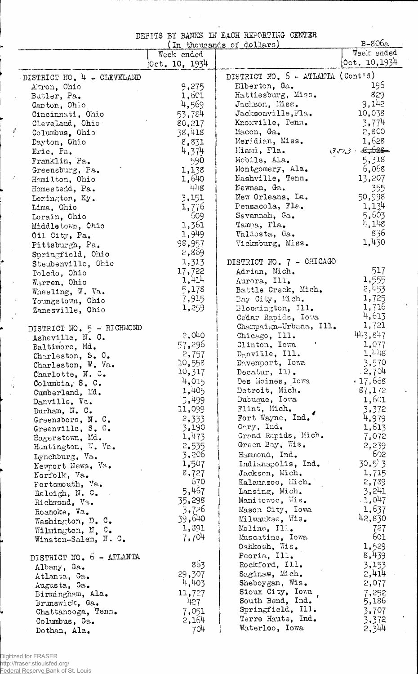DEBITS BY BANKS IN EACH REPORTING CENTER

J.

J.

|                                  |                          | (In thousands of dollars)         | $B - 806a$      |
|----------------------------------|--------------------------|-----------------------------------|-----------------|
|                                  | Week ended               |                                   | Week ended      |
|                                  | $ 0{\rm ct}$ . 10, 1934. |                                   | [0ct, 10, 1934] |
| DISTRICT NO. 4 - CLEVELAND       |                          | DISTRICT NO. 6 - ATLANTA (Cont'd) |                 |
| Akron, Ohio                      | 9,275                    | Elberton, Ga.                     | 196             |
| Butler, Pa.                      | 1,601                    | Hattiesburg, Miss.                | 829             |
| Canton, Ohio                     | 4,569                    | Jackson, Miss.                    | 9,142           |
| Cincinnati, Ohio                 | 53,784                   | Jacksonville, Fla.                | 10,038          |
| Cleveland, Ohio                  | 80,217                   | Knoxville, Tenn.                  | 3,774           |
| Columbus, Ohio                   | 38,418                   | Macon, Ga.                        | 2,800           |
| Dayton, Ohio                     | 8,831                    | Meridian, Miss.                   | 1,628           |
| Erie, Pa.                        | 4,374                    | Miami, Fla.                       | $3773 + 8.628$  |
| Franklin, Pa.                    | 590                      | Mobile, Ala.                      | 5,318           |
| Greensburg, Pa.                  | 1,138                    | Montgomery, Ala.                  | 6,058           |
| Hamilton, Ohio                   | 1,640                    | Nashville, Tenn.                  | 13,207          |
| Homestedd, Pa.                   | 448                      | Newnan, Ga.                       | 355             |
| Lexington, Ky.                   | 3,151                    | New Orleans, La.                  | 50,998          |
| Lima, Ohio                       | 1,776                    | Pensacola, Fla.                   | 1,134           |
| Lorain, Chio                     | 609                      | Savannah, Ga.                     | 5,603           |
| Middletown, Ohio                 | 1,361                    | Tamma, Fla.                       | 4,1.8           |
| Oil City, Pa.                    | 1,949                    | Valdosta, Ga.                     | 836             |
|                                  | 98,957                   | Vicksburg, Miss.                  | 1,430           |
| Pittsburgh, Pa.                  | 2,869                    |                                   |                 |
| Springfield, Ohio                | 1,313                    | DISTRICT NO. 7 - CHICAGO          |                 |
| Steubenville, Ohio               | 17,722                   | Adrian, Mich.                     | 517             |
| Toledo, Ohio                     | 1,414                    | Aurora, Ill.                      | 1,555           |
| Warren, Ohio                     | 5,178                    | Battle Creek, Mich.               | 2,453           |
| Wheeling, W. Va.                 | 7,915                    | Bay City, Mich.                   | 1,725           |
| Youngstown, Ohio                 | 1,259                    | Bloomington, Ill.                 | 1,716           |
| Zanesville, Ohio                 |                          | Cedar Rapids, Iowa                | 4,613           |
|                                  |                          | Champaign-Urbana, Ill.            | 1,721           |
| DISTRICT NO. 5 - RICHMOND        | 2,040                    | Chicago, Ill.                     | 443,847         |
| Asheville, N. C.                 | 57,296                   | Clinton, Iowa                     | 1,077           |
| Baltimore, Md.                   | 2,757                    | $D_{\odot}$ nville, Ill.          | 1,448           |
| Charleston, S. C.                | 10,558                   | Devenport, Iowa                   | 3,570           |
| Charleston, W. Va.               | 10,317                   | Decatur, Ill.                     | 2,704           |
| Charlotte, $N. C.$               | 4,015                    | Des Moines, Iowa                  | $*17,658$       |
| Columbia, S. C.                  | 1,405                    | Detroit, Mich.                    | 87,172          |
| Cumberland, Md.<br>Danville, Va. | 3,499                    | Dubuque, Iowa                     | 1,601           |
| Durham, N. C.                    | 11,099                   | Flint, Mich.                      | 3,372           |
| Greensboro, N.C.                 | 2,333                    | Fort Wayne, Ind.                  | 4,979           |
| Greenville, S. C.                | 3,190                    | Gary, Ind.                        | 1,613           |
| Hagerstown, Md.                  | 1,473                    | Grand Rapids, Mich.               | 7,072           |
| Huntington, W. Va.               | 2,535                    | Green Bay, Wis.                   | 2,239           |
| Lynchburg, Va.                   | 3,206                    | Hammond, Ind.                     | 602             |
| Newport News, Va.                | 1,507                    | Indianapolis, Ind.                | 30,543          |
| Norfolk, Va.                     | 8,727                    | Jackson, Mich.                    | 1,715           |
| Portsmouth, Va.                  | 670                      | Kalamazoo, Mich.                  | 2,739           |
| Raleigh, N. C.                   | 5,467                    | Lansing, Mich.                    | 3,241           |
| Richmond, Va.                    | 35,298                   | Manitowoc, Wis.                   | 1,047           |
| Roanoke, Va.                     | 3,726                    | Mason City, Iowa                  | 1,637           |
| Washington, D. C.                | 39,640                   | Milwaukse, Wis.                   | 42,830          |
| Wilmington, N. C.                | 1,391                    | Moline, Ill.                      | 727             |
| Winston-Salem, N. C.             | 7,704                    | Muscatine, Iowa                   | 601             |
|                                  |                          | Oshkosh, Wis.                     | 1,529           |
| DISTRICT NO. 6 - ATLANTA         |                          | Peoria, Ill.                      | 8,439           |
| Albany, Ga.                      | 863                      | Rockford, Ill.                    | 3,153           |
| Atlanta, Ga.                     | 29,307                   | Saginaw, Mich.                    | 2,414           |
| Augusta, Ga.                     | 4,403                    | Sheboygan, Wis.                   | 2,077           |
| Birmingham, Ala.                 | 11,727                   | Sioux City, Iowa                  | 7,252           |
| Brunswick, Ga.                   | 427                      | South Bend, Ind.                  | 5,186           |
| Chattanooga, Tenn.               | 7,051                    | Springfield, Ill.                 | 3,707           |
| Columbus, Ga.                    | 2,164                    | Terre Haute, Ind.                 | 3,372           |
| Dothan, Ala.                     | 704                      | Waterloo, Iowa                    | 2,344           |

 $\langle i \rangle$